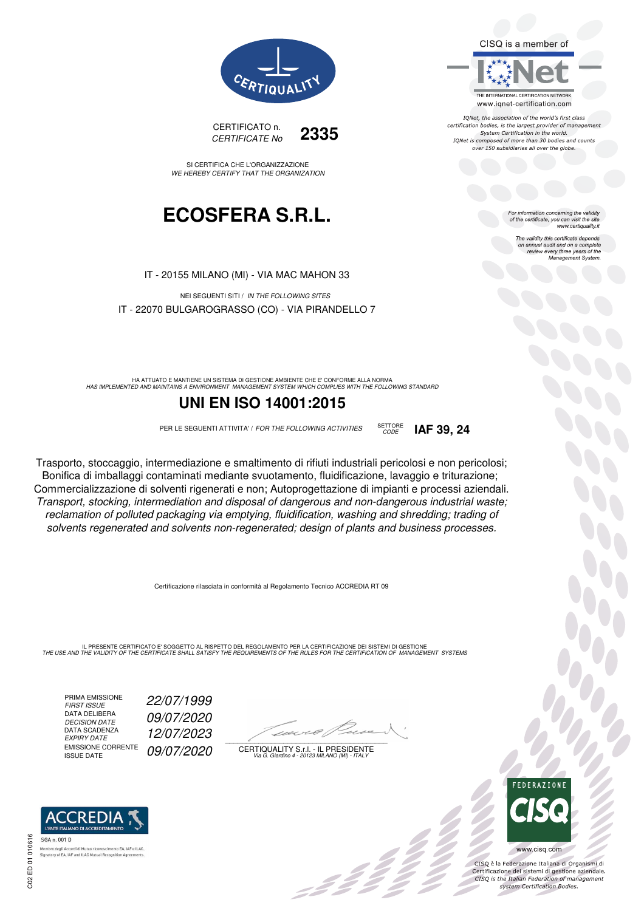CISO is a member of



IQNet, the association of the world's first class certification bodies, is the largest provider of management System Certification in the world. IQNet is composed of more than 30 bodies and counts over 150 subsidiaries all over the globe.

CODE **IAF 39, 24**

For information concerning the validity<br>of the certificate, you can visit the site www.certiquality.it

> The validity this certificate depends The validity this certificate depends<br>on annual audit and on a complete<br>review every three years of the<br>Management System.



CERTIFICATO n. CERTIFICATE No **2335**

SI CERTIFICA CHE L'ORGANIZZAZIONE WE HEREBY CERTIFY THAT THE ORGANIZATION

## **ECOSFERA S.R.L.**

IT - 20155 MILANO (MI) - VIA MAC MAHON 33

NEI SEGUENTI SITI / IN THE FOLLOWING SITES IT - 22070 BULGAROGRASSO (CO) - VIA PIRANDELLO 7

HA ATTUATO E MANTIENE UN SISTEMA DI GESTIONE AMBIENTE CHE E' CONFORME ALLA NORMA<br>HAS IMPLEMENTED AND MAINTAINS A ENVIRONMENT MANAGEMENT SYSTEM WHICH COMPLIES WITH THE FOLLOWING STANDARD

### **UNI EN ISO 14001:2015**

PER LE SEGUENTI ATTIVITA' / FOR THE FOLLOWING ACTIVITIES SETTORE

Trasporto, stoccaggio, intermediazione e smaltimento di rifiuti industriali pericolosi e non pericolosi; Bonifica di imballaggi contaminati mediante svuotamento, fluidificazione, lavaggio e triturazione; Commercializzazione di solventi rigenerati e non; Autoprogettazione di impianti e processi aziendali. Transport, stocking, intermediation and disposal of dangerous and non-dangerous industrial waste; reclamation of polluted packaging via emptying, fluidification, washing and shredding; trading of solvents regenerated and solvents non-regenerated; design of plants and business processes.

Certificazione rilasciata in conformità al Regolamento Tecnico ACCREDIA RT 09

IL PRESENTE CERTIFICATO E' SOGGETTO AL RISPETTO DEL REGOLAMENTO PER LA CERTIFICAZIONE DEI SISTEMI DI GESTIONE<br>THE USE AND THE VALIDITY OF THE CERTIFICATE SHALL SATISFY THE REQUIREMENTS OF THE RULES FOR THE CERTIFICATION OF

PRIMA EMISSIONE<br>FIRST ISSUE DATA DELIBERA<br>DECISION DATE DATA SCADENZA<br>EXPIRY DATE EMISSIONE CORRENTE<br>ISSUE DATE

FIRST ISSUE 22/07/1999 09/07/2020 EXPIRY DATE 12/07/2023 09/07/2020

 $\overline{\phantom{a}}$ 

:42 P

CERTIQUALITY S.r.l. - IL PRESIDENTE Via G. Giardino 4 - 20123 MILANO (MI) - ITALY



 $\frac{1}{2}$ 

www.cisq.com

CISO è la Federazione Italiana di Organismi di CISQ e la regerazione italiana di Organismi di<br>Certificazione dei sistemi di gestione aziendale.<br>CISQ is the Italian Federation of management system Certification Bodies.



SGA n. 001 D ento EA, IAF e ILAC Membro degli Accordi di Mutuo ricor **Signatory of EA, IAF and ILAC Mutual Recognition Ag**